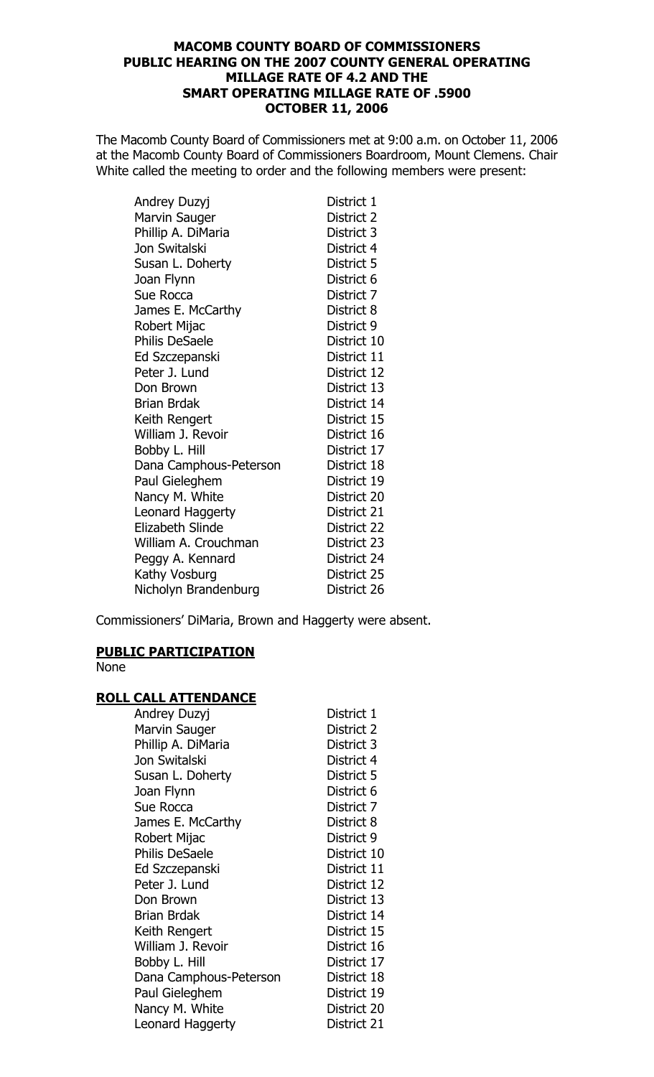## **MACOMB COUNTY BOARD OF COMMISSIONERS** PUBLIC HEARING ON THE 2007 COUNTY GENERAL OPERATING **MILLAGE RATE OF 4.2 AND THE SMART OPERATING MILLAGE RATE OF .5900 OCTOBER 11, 2006**

The Macomb County Board of Commissioners met at 9:00 a.m. on October 11, 2006 at the Macomb County Board of Commissioners Boardroom, Mount Clemens. Chair White called the meeting to order and the following members were present:

| Andrey Duzyj           | District 1  |
|------------------------|-------------|
| <b>Marvin Sauger</b>   | District 2  |
| Phillip A. DiMaria     | District 3  |
| Jon Switalski          | District 4  |
| Susan L. Doherty       | District 5  |
| Joan Flynn             | District 6  |
| Sue Rocca              | District 7  |
| James E. McCarthy      | District 8  |
| Robert Mijac           | District 9  |
| <b>Philis DeSaele</b>  | District 10 |
| Ed Szczepanski         | District 11 |
| Peter J. Lund          | District 12 |
| Don Brown              | District 13 |
| <b>Brian Brdak</b>     | District 14 |
| Keith Rengert          | District 15 |
| William J. Revoir      | District 16 |
| Bobby L. Hill          | District 17 |
| Dana Camphous-Peterson | District 18 |
| Paul Gieleghem         | District 19 |
| Nancy M. White         | District 20 |
| Leonard Haggerty       | District 21 |
| Elizabeth Slinde       | District 22 |
| William A. Crouchman   | District 23 |
| Peggy A. Kennard       | District 24 |
| Kathy Vosburg          | District 25 |
| Nicholyn Brandenburg   | District 26 |

Commissioners' DiMaria, Brown and Haggerty were absent.

## **PUBLIC PARTICIPATION**

None

## **ROLL CALL ATTENDANCE**

| <u>ALL ATTLIVAIVL</u>  |             |
|------------------------|-------------|
| Andrey Duzyj           | District 1  |
| Marvin Sauger          | District 2  |
| Phillip A. DiMaria     | District 3  |
| Jon Switalski          | District 4  |
| Susan L. Doherty       | District 5  |
| Joan Flynn             | District 6  |
| Sue Rocca              | District 7  |
| James E. McCarthy      | District 8  |
| Robert Mijac           | District 9  |
| <b>Philis DeSaele</b>  | District 10 |
| Ed Szczepanski         | District 11 |
| Peter J. Lund          | District 12 |
| Don Brown              | District 13 |
| <b>Brian Brdak</b>     | District 14 |
| Keith Rengert          | District 15 |
| William J. Revoir      | District 16 |
| Bobby L. Hill          | District 17 |
| Dana Camphous-Peterson | District 18 |
| Paul Gieleghem         | District 19 |
| Nancy M. White         | District 20 |
| Leonard Haggerty       | District 21 |
|                        |             |